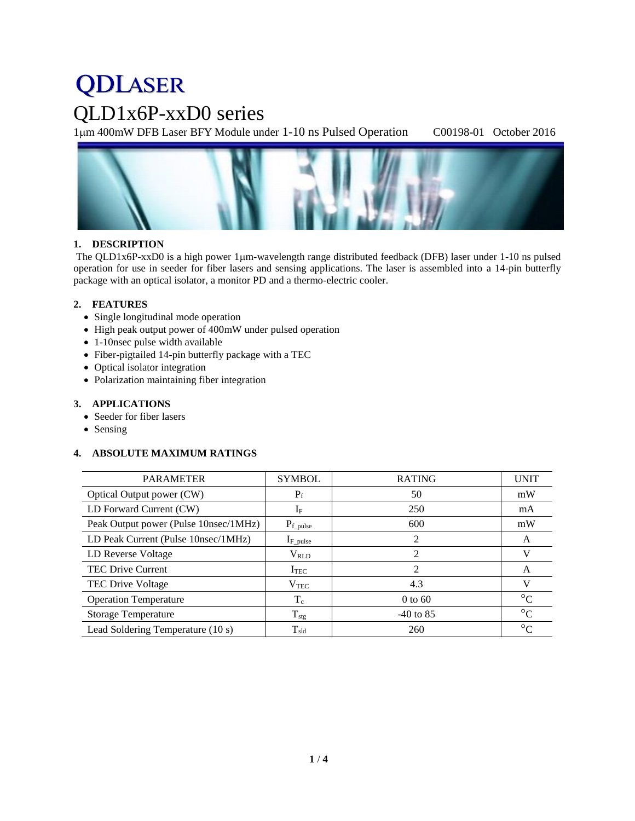# **QDLASER**

# QLD1x6P-xxD0 series

1m 400mW DFB Laser BFY Module under 1-10 ns Pulsed Operation C00198-01 October 2016



### **1. DESCRIPTION**

The QLD1x6P-xxD0 is a high power 1 $\mu$ m-wavelength range distributed feedback (DFB) laser under 1-10 ns pulsed operation for use in seeder for fiber lasers and sensing applications. The laser is assembled into a 14-pin butterfly package with an optical isolator, a monitor PD and a thermo-electric cooler.

### **2. FEATURES**

- Single longitudinal mode operation
- High peak output power of 400mW under pulsed operation
- 1-10nsec pulse width available
- Fiber-pigtailed 14-pin butterfly package with a TEC
- Optical isolator integration
- Polarization maintaining fiber integration

#### **3. APPLICATIONS**

- Seeder for fiber lasers
- Sensing

### **4. ABSOLUTE MAXIMUM RATINGS**

| <b>PARAMETER</b>                      | <b>SYMBOL</b>    | <b>RATING</b>  | <b>UNIT</b>     |
|---------------------------------------|------------------|----------------|-----------------|
| Optical Output power (CW)             | $P_f$            | 50             | mW              |
| LD Forward Current (CW)               | $I_F$            | 250            | mA              |
| Peak Output power (Pulse 10nsec/1MHz) | $P_{f\_pulse}$   | 600            | mW              |
| LD Peak Current (Pulse 10nsec/1MHz)   | $I_{F\_pulse}$   | $\mathfrak{D}$ | A               |
| LD Reverse Voltage                    | $V_{RLD}$        | 2              | V               |
| <b>TEC Drive Current</b>              | I <sub>TEC</sub> | 2              | A               |
| TEC Drive Voltage                     | $V_{\rm TEC}$    | 4.3            | V               |
| <b>Operation Temperature</b>          | $T_c$            | $0$ to $60$    | $\rm ^{\circ}C$ |
| <b>Storage Temperature</b>            | $T_{\text{stg}}$ | $-40$ to 85    | $\rm ^{\circ}C$ |
| Lead Soldering Temperature (10 s)     | $T_{\rm sld}$    | 260            | $\rm ^{\circ}C$ |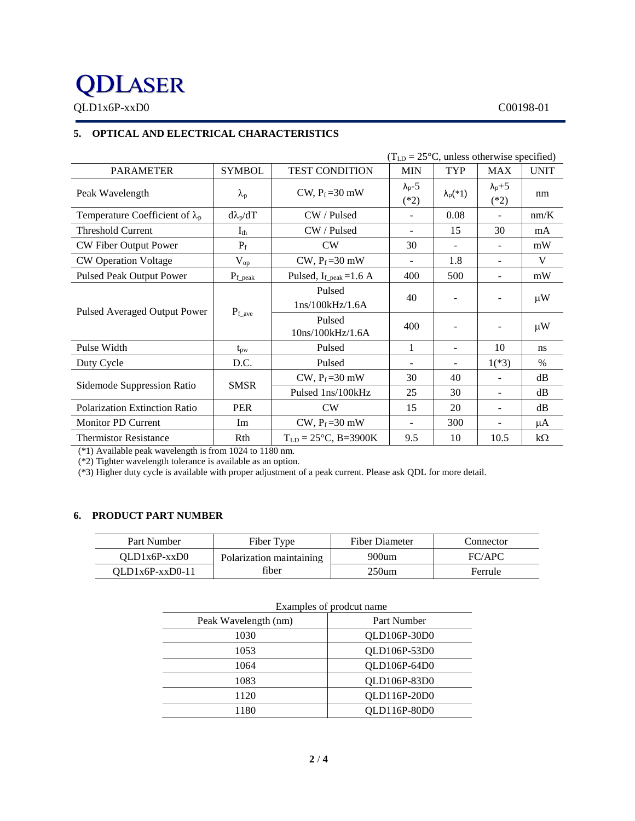# **QDLASER**

QLD1x6P-xxD0 C00198-01

# **5. OPTICAL AND ELECTRICAL CHARACTERISTICS**

|                                        |                   |                                              | $(TLD = 25oC, unless otherwise specified)$ |                          |                           |             |
|----------------------------------------|-------------------|----------------------------------------------|--------------------------------------------|--------------------------|---------------------------|-------------|
| <b>PARAMETER</b>                       | <b>SYMBOL</b>     | <b>TEST CONDITION</b>                        | <b>MIN</b>                                 | <b>TYP</b>               | <b>MAX</b>                | <b>UNIT</b> |
| Peak Wavelength                        | $\lambda_{\rm p}$ | CW, $P_f = 30$ mW                            | $\lambda_{p}$ -5<br>$(*2)$                 | $\lambda_p(*1)$          | $\lambda_{p+5}$<br>$(*2)$ | nm          |
| Temperature Coefficient of $\lambda_p$ | $d\lambda_p/dT$   | CW / Pulsed                                  |                                            | 0.08                     |                           | nm/K        |
| <b>Threshold Current</b>               | $I_{th}$          | CW / Pulsed                                  | $\qquad \qquad \blacksquare$               | 15                       | 30                        | mA          |
| CW Fiber Output Power                  | $P_f$             | CW                                           | 30                                         |                          |                           | mW          |
| <b>CW Operation Voltage</b>            | $V_{op}$          | $CW$ , $P_f = 30$ mW                         |                                            | 1.8                      |                           | V           |
| <b>Pulsed Peak Output Power</b>        | $P_{\rm f\_peak}$ | Pulsed, $I_{f_{\text{.peak}}}=1.6 \text{ A}$ | 400                                        | 500                      | ۰                         | mW          |
| Pulsed Averaged Output Power           | $P_{f\_{ave}}$    | Pulsed<br>1ns/100kHz/1.6A                    | 40                                         |                          |                           | $\mu$ W     |
|                                        |                   | Pulsed<br>10ns/100kHz/1.6A                   | 400                                        | $\overline{\phantom{a}}$ |                           | $\mu$ W     |
| Pulse Width                            | $t_{\rm pw}$      | Pulsed                                       | 1                                          |                          | 10                        | ns          |
| Duty Cycle                             | D.C.              | Pulsed                                       |                                            |                          | $1(*3)$                   | $\%$        |
| Sidemode Suppression Ratio             | <b>SMSR</b>       | CW, $P_f = 30$ mW                            | 30                                         | 40                       |                           | dB          |
|                                        |                   | Pulsed 1ns/100kHz                            | 25                                         | 30                       | $\overline{\phantom{0}}$  | dB          |
| Polarization Extinction Ratio          | <b>PER</b>        | <b>CW</b>                                    | 15                                         | 20                       | ٠                         | dB          |
| <b>Monitor PD Current</b>              | Im                | CW, $P_f = 30$ mW                            |                                            | 300                      |                           | μA          |
| <b>Thermistor Resistance</b>           | Rth               | $T_{LD} = 25^{\circ}C$ , B=3900K             | 9.5                                        | 10                       | 10.5                      | $k\Omega$   |

(\*1) Available peak wavelength is from 1024 to 1180 nm.

(\*2) Tighter wavelength tolerance is available as an option.

(\*3) Higher duty cycle is available with proper adjustment of a peak current. Please ask QDL for more detail.

### **6. PRODUCT PART NUMBER**

| Part Number       | Fiber Type               | <b>Fiber Diameter</b> | Connector |
|-------------------|--------------------------|-----------------------|-----------|
| $OLD1x6P-xxD0$    | Polarization maintaining | $900$ um              | FC/APC    |
| $OLD1x6P-xxD0-11$ | fiber                    | $250$ um              | Ferrule   |

|                      | Examples of prodcut name |  |  |
|----------------------|--------------------------|--|--|
| Peak Wavelength (nm) | Part Number              |  |  |
| 1030                 | QLD106P-30D0             |  |  |
| 1053                 | QLD106P-53D0             |  |  |
| 1064                 | OLD106P-64D0             |  |  |
| 1083                 | QLD106P-83D0             |  |  |
| 1120                 | QLD116P-20D0             |  |  |
| 1180                 | QLD116P-80D0             |  |  |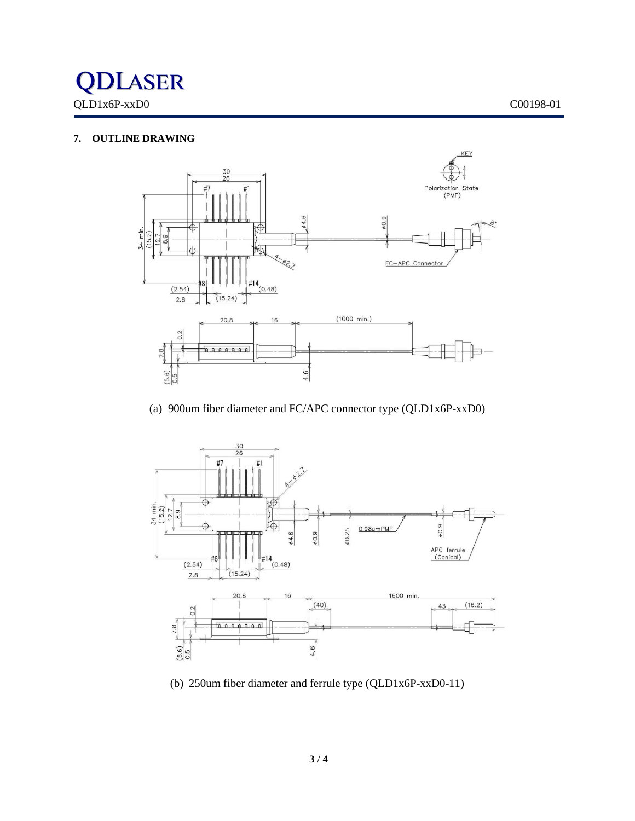

## **7. OUTLINE DRAWING**



(a) 900um fiber diameter and FC/APC connector type (QLD1x6P-xxD0)



(b) 250um fiber diameter and ferrule type (QLD1x6P-xxD0-11)